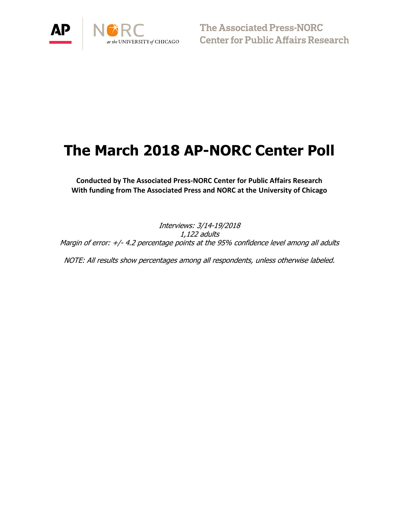

**The Associated Press-NORC<br>Center for Public Affairs Research** 

# **The March 2018 AP-NORC Center Poll**

**Conducted by The Associated Press-NORC Center for Public Affairs Research With funding from The Associated Press and NORC at the University of Chicago**

Interviews: 3/14-19/2018 1,122 adults Margin of error: +/- 4.2 percentage points at the 95% confidence level among all adults

NOTE: All results show percentages among all respondents, unless otherwise labeled.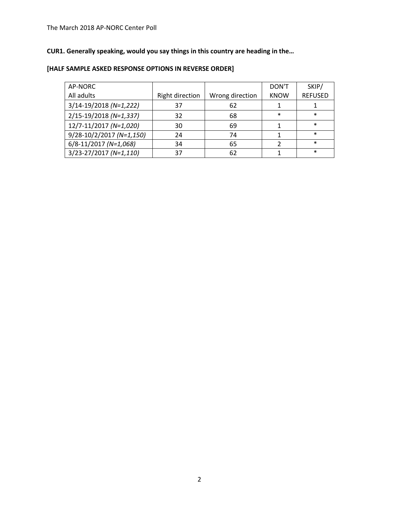# **CUR1. Generally speaking, would you say things in this country are heading in the…**

| AP-NORC                      |                        |                 | DON'T       | SKIP/          |
|------------------------------|------------------------|-----------------|-------------|----------------|
| All adults                   | <b>Right direction</b> | Wrong direction | <b>KNOW</b> | <b>REFUSED</b> |
| $3/14 - 19/2018$ (N=1,222)   | 37                     | 62              |             |                |
| 2/15-19/2018 (N=1,337)       | 32                     | 68              | $\ast$      | $\ast$         |
| 12/7-11/2017 (N=1,020)       | 30                     | 69              |             | $\ast$         |
| $9/28 - 10/2/2017$ (N=1,150) | 24                     | 74              |             | $\ast$         |
| 6/8-11/2017 (N=1,068)        | 34                     | 65              |             | $\ast$         |
| $3/23 - 27/2017 (N=1,110)$   | 37                     | 62              |             | $\ast$         |

# **[HALF SAMPLE ASKED RESPONSE OPTIONS IN REVERSE ORDER]**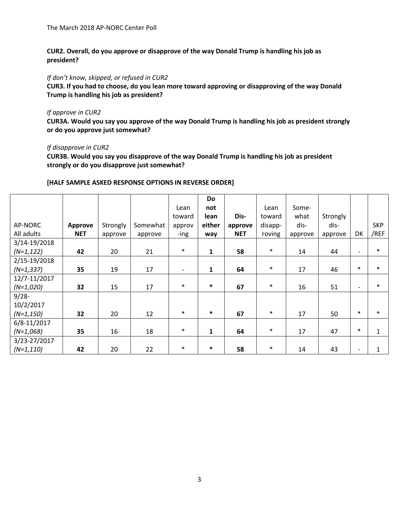**CUR2. Overall, do you approve or disapprove of the way Donald Trump is handling his job as president?**

*If don't know, skipped, or refused in CUR2*

**CUR3. If you had to choose, do you lean more toward approving or disapproving of the way Donald Trump is handling his job as president?**

#### *If approve in CUR2*

**CUR3A. Would you say you approve of the way Donald Trump is handling his job as president strongly or do you approve just somewhat?**

### *If disapprove in CUR2*

**CUR3B. Would you say you disapprove of the way Donald Trump is handling his job as president strongly or do you disapprove just somewhat?**

## **[HALF SAMPLE ASKED RESPONSE OPTIONS IN REVERSE ORDER]**

|              |                |          |          |                          | <b>Do</b>    |            |         |         |          |                          |              |
|--------------|----------------|----------|----------|--------------------------|--------------|------------|---------|---------|----------|--------------------------|--------------|
|              |                |          |          | Lean                     | not          |            | Lean    | Some-   |          |                          |              |
|              |                |          |          | toward                   | lean         | Dis-       | toward  | what    | Strongly |                          |              |
| AP-NORC      | <b>Approve</b> | Strongly | Somewhat | approv                   | either       | approve    | disapp- | dis-    | dis-     |                          | <b>SKP</b>   |
| All adults   | <b>NET</b>     | approve  | approve  | -ing                     | way          | <b>NET</b> | roving  | approve | approve  | DK                       | /REF         |
| 3/14-19/2018 |                |          |          |                          |              |            |         |         |          |                          |              |
| $(N=1, 122)$ | 42             | 20       | 21       | $\ast$                   | 1            | 58         | $\ast$  | 14      | 44       | $\overline{\phantom{0}}$ | $\ast$       |
| 2/15-19/2018 |                |          |          |                          |              |            |         |         |          |                          |              |
| $(N=1,337)$  | 35             | 19       | 17       | $\overline{\phantom{a}}$ | $\mathbf{1}$ | 64         | $\ast$  | 17      | 46       | $\ast$                   | $\ast$       |
| 12/7-11/2017 |                |          |          |                          |              |            |         |         |          |                          |              |
| $(N=1,020)$  | 32             | 15       | 17       | $\ast$                   | $\ast$       | 67         | $\ast$  | 16      | 51       | $\overline{\phantom{0}}$ | $\ast$       |
| $9/28 -$     |                |          |          |                          |              |            |         |         |          |                          |              |
| 10/2/2017    |                |          |          |                          |              |            |         |         |          |                          |              |
| $(N=1, 150)$ | 32             | 20       | 12       | $\ast$                   | $\ast$       | 67         | $\ast$  | 17      | 50       | $\ast$                   | $\ast$       |
| 6/8-11/2017  |                |          |          |                          |              |            |         |         |          |                          |              |
| $(N=1,068)$  | 35             | 16       | 18       | $\ast$                   | 1            | 64         | $\ast$  | 17      | 47       | $\ast$                   | $\mathbf{1}$ |
| 3/23-27/2017 |                |          |          |                          |              |            |         |         |          |                          |              |
| $(N=1,110)$  | 42             | 20       | 22       | $\ast$                   | $\ast$       | 58         | $\ast$  | 14      | 43       |                          | 1            |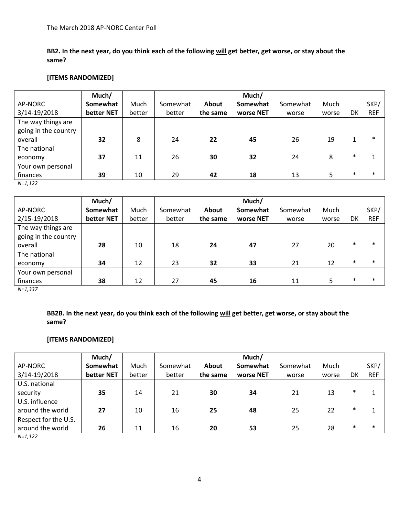**BB2. In the next year, do you think each of the following will get better, get worse, or stay about the same?** 

## **[ITEMS RANDOMIZED]**

|                      | Much/      |        |          |          | Much/     |          |       |        |            |
|----------------------|------------|--------|----------|----------|-----------|----------|-------|--------|------------|
| AP-NORC              | Somewhat   | Much   | Somewhat | About    | Somewhat  | Somewhat | Much  |        | SKP/       |
| 3/14-19/2018         | better NET | better | better   | the same | worse NET | worse    | worse | DK     | <b>REF</b> |
| The way things are   |            |        |          |          |           |          |       |        |            |
| going in the country |            |        |          |          |           |          |       |        |            |
| overall              | 32         | 8      | 24       | 22       | 45        | 26       | 19    | 1      | $\ast$     |
| The national         |            |        |          |          |           |          |       |        |            |
| economy              | 37         | 11     | 26       | 30       | 32        | 24       | 8     | $\ast$ |            |
| Your own personal    |            |        |          |          |           |          |       |        |            |
| finances             | 39         | 10     | 29       | 42       | 18        | 13       | 5     | $\ast$ | $\ast$     |

*N=1,122*

|                      | Much/      |        |          |          | Much/     |          |       |        |            |
|----------------------|------------|--------|----------|----------|-----------|----------|-------|--------|------------|
| AP-NORC              | Somewhat   | Much   | Somewhat | About    | Somewhat  | Somewhat | Much  |        | SKP/       |
| 2/15-19/2018         | better NET | better | better   | the same | worse NET | worse    | worse | DK     | <b>REF</b> |
| The way things are   |            |        |          |          |           |          |       |        |            |
| going in the country |            |        |          |          |           |          |       |        |            |
| overall              | 28         | 10     | 18       | 24       | 47        | 27       | 20    | $\ast$ | $\ast$     |
| The national         |            |        |          |          |           |          |       |        |            |
| economy              | 34         | 12     | 23       | 32       | 33        | 21       | 12    | $\ast$ | $\ast$     |
| Your own personal    |            |        |          |          |           |          |       |        |            |
| finances             | 38         | 12     | 27       | 45       | 16        | 11       | 5     | $\ast$ | $\ast$     |

*N=1,337*

**BB2B. In the next year, do you think each of the following will get better, get worse, or stay about the same?** 

## **[ITEMS RANDOMIZED]**

|                      | Much/      |        |          |          | Much/     |          |       |        |            |
|----------------------|------------|--------|----------|----------|-----------|----------|-------|--------|------------|
| AP-NORC              | Somewhat   | Much   | Somewhat | About    | Somewhat  | Somewhat | Much  |        | SKP/       |
| 3/14-19/2018         | better NET | better | better   | the same | worse NET | worse    | worse | DK     | <b>REF</b> |
| U.S. national        |            |        |          |          |           |          |       |        |            |
| security             | 35         | 14     | 21       | 30       | 34        | 21       | 13    | $\ast$ |            |
| U.S. influence       |            |        |          |          |           |          |       |        |            |
| around the world     | 27         | 10     | 16       | 25       | 48        | 25       | 22    | $\ast$ |            |
| Respect for the U.S. |            |        |          |          |           |          |       |        |            |
| around the world     | 26         | 11     | 16       | 20       | 53        | 25       | 28    | $\ast$ | $\ast$     |
| $N=1,122$            |            |        |          |          |           |          |       |        |            |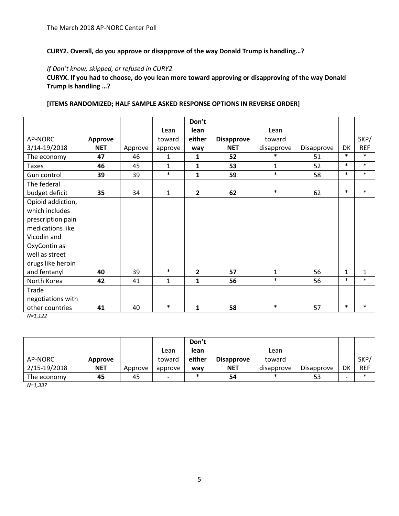## **CURY2. Overall, do you approve or disapprove of the way Donald Trump is handling…?**

## *If Don't know, skipped, or refused in CURY2*

**CURYX. If you had to choose, do you lean more toward approving or disapproving of the way Donald Trump is handling …?**

|                   |            |         |              | Don't          |                   |              |            |              |              |
|-------------------|------------|---------|--------------|----------------|-------------------|--------------|------------|--------------|--------------|
|                   |            |         | Lean         | lean           |                   | Lean         |            |              |              |
| AP-NORC           | Approve    |         | toward       | either         | <b>Disapprove</b> | toward       |            |              | SKP/         |
| 3/14-19/2018      | <b>NET</b> | Approve | approve      | way            | <b>NET</b>        | disapprove   | Disapprove | DK           | <b>REF</b>   |
| The economy       | 47         | 46      | 1            | 1              | 52                | $\ast$       | 51         | $\ast$       | $\ast$       |
| <b>Taxes</b>      | 46         | 45      | $\mathbf{1}$ | $\mathbf{1}$   | 53                | $\mathbf{1}$ | 52         | $\ast$       | $\ast$       |
| Gun control       | 39         | 39      | $\ast$       | $\mathbf{1}$   | 59                | $\ast$       | 58         | $\ast$       | $\ast$       |
| The federal       |            |         |              |                |                   |              |            |              |              |
| budget deficit    | 35         | 34      | $\mathbf{1}$ | $\overline{2}$ | 62                | $\ast$       | 62         | $\ast$       | $\ast$       |
| Opioid addiction, |            |         |              |                |                   |              |            |              |              |
| which includes    |            |         |              |                |                   |              |            |              |              |
| prescription pain |            |         |              |                |                   |              |            |              |              |
| medications like  |            |         |              |                |                   |              |            |              |              |
| Vicodin and       |            |         |              |                |                   |              |            |              |              |
| OxyContin as      |            |         |              |                |                   |              |            |              |              |
| well as street    |            |         |              |                |                   |              |            |              |              |
| drugs like heroin |            |         |              |                |                   |              |            |              |              |
| and fentanyl      | 40         | 39      | $\ast$       | $\overline{2}$ | 57                | $\mathbf{1}$ | 56         | $\mathbf{1}$ | $\mathbf{1}$ |
| North Korea       | 42         | 41      | $\mathbf{1}$ | $\mathbf{1}$   | 56                | $\ast$       | 56         | $\ast$       | $\ast$       |
| Trade             |            |         |              |                |                   |              |            |              |              |
| negotiations with |            |         |              |                |                   |              |            |              |              |
| other countries   | 41         | 40      | $\ast$       | 1              | 58                | $\ast$       | 57         | $\ast$       | $\ast$       |

### **[ITEMS RANDOMIZED; HALF SAMPLE ASKED RESPONSE OPTIONS IN REVERSE ORDER]**

*N=1,122*

|              |            |         |                          | Don't  |                   |            |                   |    |            |
|--------------|------------|---------|--------------------------|--------|-------------------|------------|-------------------|----|------------|
|              |            |         | Lean                     | lean   |                   | Lean       |                   |    |            |
| AP-NORC      | Approve    |         | toward                   | either | <b>Disapprove</b> | toward     |                   |    | SKP/       |
| 2/15-19/2018 | <b>NET</b> | Approve | approve                  | way    | <b>NET</b>        | disapprove | <b>Disapprove</b> | DK | <b>REF</b> |
| The economy  | 45         | 45      | $\overline{\phantom{0}}$ | *      | 54                | $\ast$     | 53                |    | $\ast$     |

*N=1,337*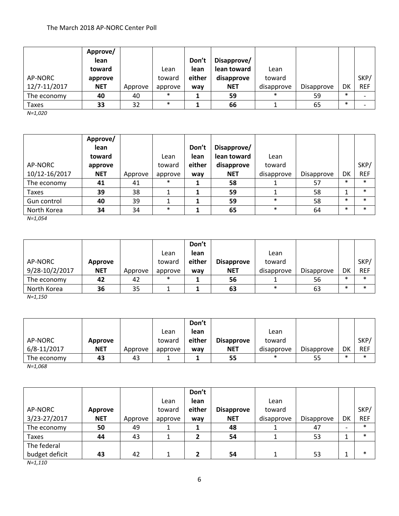|              | Approve/   |         |         |        |             |            |            |        |            |
|--------------|------------|---------|---------|--------|-------------|------------|------------|--------|------------|
|              | lean       |         |         | Don't  | Disapprove/ |            |            |        |            |
|              | toward     |         | Lean    | lean   | lean toward | Lean       |            |        |            |
| AP-NORC      | approve    |         | toward  | either | disapprove  | toward     |            |        | SKP/       |
| 12/7-11/2017 | <b>NET</b> | Approve | approve | way    | <b>NET</b>  | disapprove | Disapprove | DK     | <b>REF</b> |
| The economy  | 40         | 40      | $\ast$  |        | 59          | ∗          | 59         | $\ast$ |            |
| Taxes        | 33         | 32      | $\ast$  |        | 66          |            | 65         | $\ast$ |            |

*N=1,020*

| AP-NORC<br>10/12-16/2017 | Approve/<br>lean<br>toward<br>approve<br><b>NET</b> | Approve | Lean<br>toward<br>approve | Don't<br>lean<br>either<br>way | Disapprove/<br>lean toward<br>disapprove<br><b>NET</b> | Lean<br>toward<br>disapprove | Disapprove | DK     | SKP/<br><b>REF</b> |
|--------------------------|-----------------------------------------------------|---------|---------------------------|--------------------------------|--------------------------------------------------------|------------------------------|------------|--------|--------------------|
| The economy              | 41                                                  | 41      | $\ast$                    |                                | 58                                                     |                              | 57         | $\ast$ | $\ast$             |
| <b>Taxes</b>             | 39                                                  | 38      |                           |                                | 59                                                     |                              | 58         |        | $\ast$             |
| Gun control              | 40                                                  | 39      |                           |                                | 59                                                     | $\ast$                       | 58         | $\ast$ | $\ast$             |
| North Korea              | 34                                                  | 34      | $\ast$                    |                                | 65                                                     | $\ast$                       | 64         | $\ast$ | $\ast$             |

*N=1,054*

|                |            |         |         | Don't  |                   |            |            |        |            |
|----------------|------------|---------|---------|--------|-------------------|------------|------------|--------|------------|
|                |            |         | Lean    | lean   |                   | Lean       |            |        |            |
| AP-NORC        | Approve    |         | toward  | either | <b>Disapprove</b> | toward     |            |        | SKP/       |
| 9/28-10/2/2017 | <b>NET</b> | Approve | approve | wav    | <b>NET</b>        | disapprove | Disapprove | DK     | <b>REF</b> |
| The economy    | 42         | 42      | $\ast$  |        | 56                |            | 56         | $\ast$ | $\ast$     |
| North Korea    | 36         | 35      |         |        | 63                | $\ast$     | 63         | $\ast$ | $\ast$     |

*N=1,150*

|                   |            |         |         | Don't  |                   |            |                   |        |            |
|-------------------|------------|---------|---------|--------|-------------------|------------|-------------------|--------|------------|
|                   |            |         | Lean    | lean   |                   | Lean       |                   |        |            |
| AP-NORC           | Approve    |         | toward  | either | <b>Disapprove</b> | toward     |                   |        | SKP/       |
| 6/8-11/2017       | <b>NET</b> | Approve | approve | wav    | <b>NET</b>        | disapprove | <b>Disapprove</b> | DK     | <b>REF</b> |
| The economy       | 43         | 43      |         |        | 55                | $\ast$     | 55                | $\ast$ | $\ast$     |
| $\cdots$ $\cdots$ |            |         |         |        |                   |            |                   |        |            |

*N=1,068*

|                |            |         |         | Don't  |                   |            |            |                          |            |
|----------------|------------|---------|---------|--------|-------------------|------------|------------|--------------------------|------------|
|                |            |         | Lean    | lean   |                   | Lean       |            |                          |            |
| AP-NORC        | Approve    |         | toward  | either | <b>Disapprove</b> | toward     |            |                          | SKP/       |
| 3/23-27/2017   | <b>NET</b> | Approve | approve | way    | <b>NET</b>        | disapprove | Disapprove | DK                       | <b>REF</b> |
| The economy    | 50         | 49      |         |        | 48                |            | 47         | $\overline{\phantom{0}}$ | $\ast$     |
| Taxes          | 44         | 43      |         |        | 54                |            | 53         |                          | $\ast$     |
| The federal    |            |         |         |        |                   |            |            |                          |            |
| budget deficit | 43         | 42      |         |        | 54                |            | 53         | ◢                        | $\ast$     |

*N=1,110*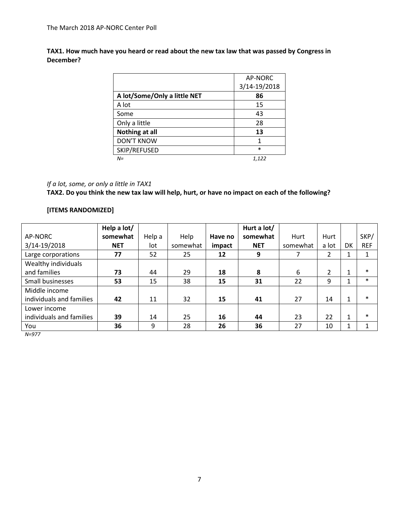**TAX1. How much have you heard or read about the new tax law that was passed by Congress in December?**

|                              | AP-NORC      |
|------------------------------|--------------|
|                              | 3/14-19/2018 |
| A lot/Some/Only a little NET | 86           |
| A lot                        | 15           |
| Some                         | 43           |
| Only a little                | 28           |
| <b>Nothing at all</b>        | 13           |
| <b>DON'T KNOW</b>            | 1            |
| SKIP/REFUSED                 | $\ast$       |
| $N =$                        | 1,122        |

# *If a lot, some, or only a little in TAX1*

**TAX2. Do you think the new tax law will help, hurt, or have no impact on each of the following?**

## **[ITEMS RANDOMIZED]**

|                                           | Help a lot/ |        |          |         | Hurt a lot/ |          |                |    |            |
|-------------------------------------------|-------------|--------|----------|---------|-------------|----------|----------------|----|------------|
| AP-NORC                                   | somewhat    | Help a | Help     | Have no | somewhat    | Hurt     | Hurt           |    | SKP/       |
| 3/14-19/2018                              | <b>NET</b>  | lot    | somewhat | impact  | <b>NET</b>  | somewhat | a lot          | DK | <b>REF</b> |
| Large corporations                        | 77          | 52     | 25       | 12      | 9           | 7        | $\overline{2}$ | 1  | 1          |
| Wealthy individuals                       |             |        |          |         |             |          |                |    |            |
| and families                              | 73          | 44     | 29       | 18      | 8           | 6        | $\overline{2}$ | 1  | $\ast$     |
| Small businesses                          | 53          | 15     | 38       | 15      | 31          | 22       | 9              | 1  | $\ast$     |
| Middle income<br>individuals and families | 42          | 11     | 32       | 15      | 41          | 27       | 14             | 1  | $\ast$     |
| Lower income<br>individuals and families  | 39          | 14     | 25       | 16      | 44          | 23       | 22             | 1  | $\ast$     |
| You                                       | 36          | 9      | 28       | 26      | 36          | 27       | 10             | 1  |            |
| $N = 977$                                 |             |        |          |         |             |          |                |    |            |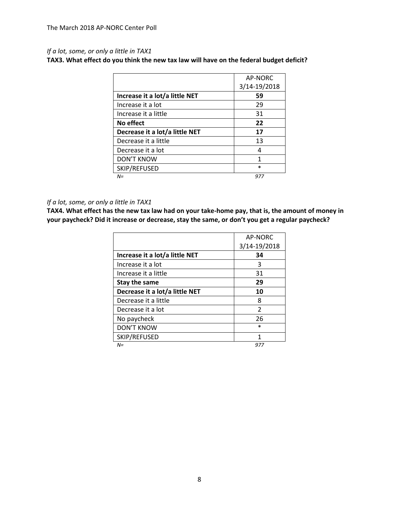# *If a lot, some, or only a little in TAX1*

**TAX3. What effect do you think the new tax law will have on the federal budget deficit?** 

|                                | AP-NORC      |
|--------------------------------|--------------|
|                                | 3/14-19/2018 |
| Increase it a lot/a little NET | 59           |
| Increase it a lot              | 29           |
| Increase it a little           | 31           |
| No effect                      | 22           |
| Decrease it a lot/a little NET | 17           |
| Decrease it a little           | 13           |
| Decrease it a lot              |              |
| <b>DON'T KNOW</b>              | 1            |
| SKIP/REFUSED                   | $\ast$       |
| $N =$                          | 977          |

### *If a lot, some, or only a little in TAX1*

**TAX4. What effect has the new tax law had on your take-home pay, that is, the amount of money in your paycheck? Did it increase or decrease, stay the same, or don't you get a regular paycheck?** 

|                                | AP-NORC      |
|--------------------------------|--------------|
|                                | 3/14-19/2018 |
| Increase it a lot/a little NET | 34           |
| Increase it a lot              | 3            |
| Increase it a little           | 31           |
| Stay the same                  | 29           |
| Decrease it a lot/a little NET | 10           |
| Decrease it a little           | 8            |
| Decrease it a lot              | 2            |
| No paycheck                    | 26           |
| <b>DON'T KNOW</b>              | $\ast$       |
| SKIP/REFUSED                   | 1            |
| $N =$                          | 977          |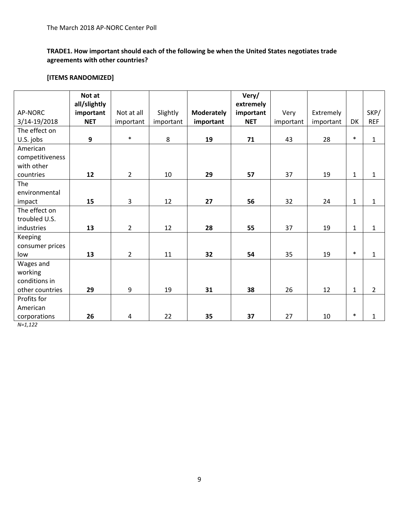# **TRADE1. How important should each of the following be when the United States negotiates trade agreements with other countries?**

## **[ITEMS RANDOMIZED]**

|                 | Not at                    |                |           |                   | Very/                  |           |           |              |                |
|-----------------|---------------------------|----------------|-----------|-------------------|------------------------|-----------|-----------|--------------|----------------|
| AP-NORC         | all/slightly<br>important | Not at all     | Slightly  | <b>Moderately</b> | extremely<br>important | Very      | Extremely |              | SKP/           |
| 3/14-19/2018    | <b>NET</b>                |                |           |                   | <b>NET</b>             |           |           | DK           | <b>REF</b>     |
|                 |                           | important      | important | important         |                        | important | important |              |                |
| The effect on   |                           | $\ast$         |           |                   |                        |           |           | $\ast$       |                |
| U.S. jobs       | 9                         |                | 8         | 19                | 71                     | 43        | 28        |              | $\mathbf{1}$   |
| American        |                           |                |           |                   |                        |           |           |              |                |
| competitiveness |                           |                |           |                   |                        |           |           |              |                |
| with other      |                           |                |           |                   |                        |           |           |              |                |
| countries       | 12                        | $\overline{2}$ | 10        | 29                | 57                     | 37        | 19        | $\mathbf{1}$ | $\mathbf{1}$   |
| The             |                           |                |           |                   |                        |           |           |              |                |
| environmental   |                           |                |           |                   |                        |           |           |              |                |
| impact          | 15                        | $\overline{3}$ | 12        | 27                | 56                     | 32        | 24        | $\mathbf{1}$ | $\mathbf{1}$   |
| The effect on   |                           |                |           |                   |                        |           |           |              |                |
| troubled U.S.   |                           |                |           |                   |                        |           |           |              |                |
| industries      | 13                        | $\overline{2}$ | 12        | 28                | 55                     | 37        | 19        | $\mathbf{1}$ | $\mathbf{1}$   |
| Keeping         |                           |                |           |                   |                        |           |           |              |                |
| consumer prices |                           |                |           |                   |                        |           |           |              |                |
| low             | 13                        | $\overline{2}$ | 11        | 32                | 54                     | 35        | 19        | $\ast$       | $\mathbf{1}$   |
| Wages and       |                           |                |           |                   |                        |           |           |              |                |
| working         |                           |                |           |                   |                        |           |           |              |                |
| conditions in   |                           |                |           |                   |                        |           |           |              |                |
| other countries | 29                        | 9              | 19        | 31                | 38                     | 26        | 12        | $\mathbf{1}$ | $\overline{2}$ |
| Profits for     |                           |                |           |                   |                        |           |           |              |                |
| American        |                           |                |           |                   |                        |           |           |              |                |
| corporations    | 26                        | 4              | 22        | 35                | 37                     | 27        | 10        | $\ast$       | 1              |

*N=1,122*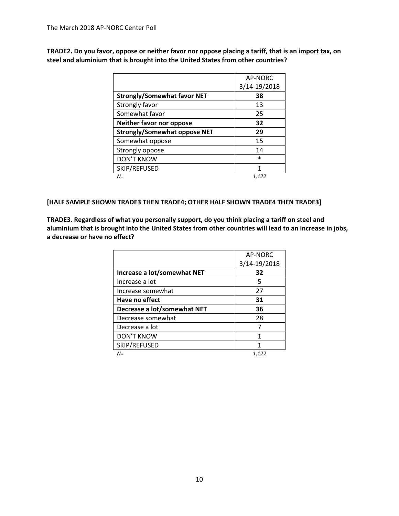**TRADE2. Do you favor, oppose or neither favor nor oppose placing a tariff, that is an import tax, on steel and aluminium that is brought into the United States from other countries?** 

|                                     | AP-NORC      |
|-------------------------------------|--------------|
|                                     | 3/14-19/2018 |
| <b>Strongly/Somewhat favor NET</b>  | 38           |
| Strongly favor                      | 13           |
| Somewhat favor                      | 25           |
| Neither favor nor oppose            | 32           |
| <b>Strongly/Somewhat oppose NET</b> | 29           |
| Somewhat oppose                     | 15           |
| Strongly oppose                     | 14           |
| <b>DON'T KNOW</b>                   | $\ast$       |
| SKIP/REFUSED                        | 1            |
| $N =$                               | 1,122        |

## **[HALF SAMPLE SHOWN TRADE3 THEN TRADE4; OTHER HALF SHOWN TRADE4 THEN TRADE3]**

**TRADE3. Regardless of what you personally support, do you think placing a tariff on steel and aluminium that is brought into the United States from other countries will lead to an increase in jobs, a decrease or have no effect?** 

|                             | AP-NORC      |
|-----------------------------|--------------|
|                             | 3/14-19/2018 |
| Increase a lot/somewhat NET | 32           |
| Increase a lot              | 5            |
| Increase somewhat           | 27           |
| Have no effect              | 31           |
| Decrease a lot/somewhat NET | 36           |
| Decrease somewhat           | 28           |
| Decrease a lot              | 7            |
| <b>DON'T KNOW</b>           | 1            |
| SKIP/REFUSED                |              |
| $N =$                       | 1,122        |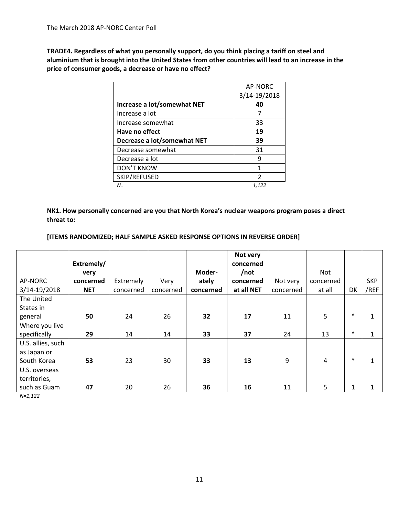**TRADE4. Regardless of what you personally support, do you think placing a tariff on steel and aluminium that is brought into the United States from other countries will lead to an increase in the price of consumer goods, a decrease or have no effect?**

|                             | AP-NORC       |
|-----------------------------|---------------|
|                             | 3/14-19/2018  |
| Increase a lot/somewhat NET | 40            |
| Increase a lot              |               |
| Increase somewhat           | 33            |
| Have no effect              | 19            |
| Decrease a lot/somewhat NET | 39            |
| Decrease somewhat           | 31            |
| Decrease a lot              | 9             |
| <b>DON'T KNOW</b>           | 1             |
| SKIP/REFUSED                | $\mathcal{P}$ |
| $N =$                       | 1,122         |

**NK1. How personally concerned are you that North Korea's nuclear weapons program poses a direct threat to:** 

## **[ITEMS RANDOMIZED; HALF SAMPLE ASKED RESPONSE OPTIONS IN REVERSE ORDER]**

|                   | Extremely/ |           |           |           | Not very<br>concerned |           |           |              |              |
|-------------------|------------|-----------|-----------|-----------|-----------------------|-----------|-----------|--------------|--------------|
|                   | very       |           |           | Moder-    | $/$ not               |           | Not       |              |              |
| AP-NORC           | concerned  | Extremely | Very      | ately     | concerned             | Not very  | concerned |              | <b>SKP</b>   |
| 3/14-19/2018      | <b>NET</b> | concerned | concerned | concerned | at all NET            | concerned | at all    | DK           | /REF         |
| The United        |            |           |           |           |                       |           |           |              |              |
| States in         |            |           |           |           |                       |           |           |              |              |
| general           | 50         | 24        | 26        | 32        | 17                    | 11        | 5         | $\ast$       | $\mathbf{1}$ |
| Where you live    |            |           |           |           |                       |           |           |              |              |
| specifically      | 29         | 14        | 14        | 33        | 37                    | 24        | 13        | $\ast$       | $\mathbf{1}$ |
| U.S. allies, such |            |           |           |           |                       |           |           |              |              |
| as Japan or       |            |           |           |           |                       |           |           |              |              |
| South Korea       | 53         | 23        | 30        | 33        | 13                    | 9         | 4         | $\ast$       | $\mathbf{1}$ |
| U.S. overseas     |            |           |           |           |                       |           |           |              |              |
| territories,      |            |           |           |           |                       |           |           |              |              |
| such as Guam      | 47         | 20        | 26        | 36        | 16                    | 11        | 5         | $\mathbf{1}$ | 1            |

*N=1,122*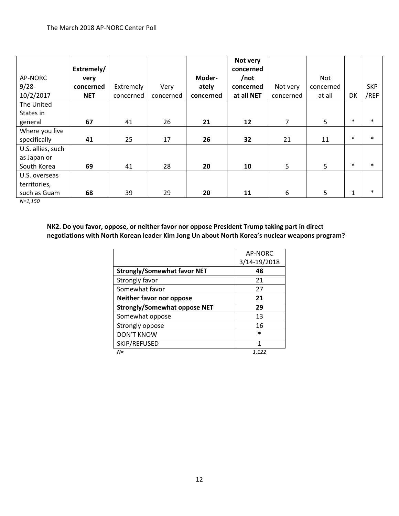|                   |            |           |           |           | Not very   |                |                |        |            |
|-------------------|------------|-----------|-----------|-----------|------------|----------------|----------------|--------|------------|
|                   | Extremely/ |           |           |           | concerned  |                |                |        |            |
| AP-NORC           | very       |           |           | Moder-    | /not       |                | Not            |        |            |
| $9/28 -$          | concerned  | Extremely | Very      | ately     | concerned  | Not very       | concerned      |        | <b>SKP</b> |
| 10/2/2017         | <b>NET</b> | concerned | concerned | concerned | at all NET | concerned      | at all         | DK     | /REF       |
| The United        |            |           |           |           |            |                |                |        |            |
| States in         |            |           |           |           |            |                |                |        |            |
| general           | 67         | 41        | 26        | 21        | 12         | $\overline{7}$ | 5 <sup>5</sup> | $\ast$ | $\ast$     |
| Where you live    |            |           |           |           |            |                |                |        |            |
| specifically      | 41         | 25        | 17        | 26        | 32         | 21             | 11             | $\ast$ | $\ast$     |
| U.S. allies, such |            |           |           |           |            |                |                |        |            |
| as Japan or       |            |           |           |           |            |                |                |        |            |
| South Korea       | 69         | 41        | 28        | 20        | 10         | 5              | 5              | $\ast$ | $\ast$     |
| U.S. overseas     |            |           |           |           |            |                |                |        |            |
| territories,      |            |           |           |           |            |                |                |        |            |
| such as Guam      | 68         | 39        | 29        | 20        | 11         | 6              | 5              | 1      | $\ast$     |

*N=1,150*

**NK2. Do you favor, oppose, or neither favor nor oppose President Trump taking part in direct negotiations with North Korean leader Kim Jong Un about North Korea's nuclear weapons program?**

|                                     | AP-NORC      |
|-------------------------------------|--------------|
|                                     | 3/14-19/2018 |
| <b>Strongly/Somewhat favor NET</b>  | 48           |
| Strongly favor                      | 21           |
| Somewhat favor                      | 27           |
| Neither favor nor oppose            | 21           |
| <b>Strongly/Somewhat oppose NET</b> | 29           |
| Somewhat oppose                     | 13           |
| Strongly oppose                     | 16           |
| <b>DON'T KNOW</b>                   | $\ast$       |
| SKIP/REFUSED                        | 1            |
| $N =$                               | 1.122        |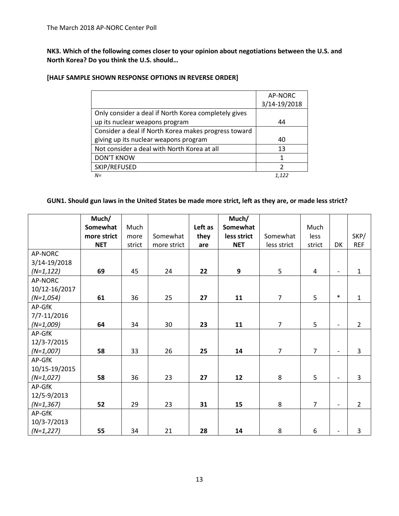**NK3. Which of the following comes closer to your opinion about negotiations between the U.S. and North Korea? Do you think the U.S. should…**

## **[HALF SAMPLE SHOWN RESPONSE OPTIONS IN REVERSE ORDER]**

|                                                      | AP-NORC      |
|------------------------------------------------------|--------------|
|                                                      | 3/14-19/2018 |
| Only consider a deal if North Korea completely gives |              |
| up its nuclear weapons program                       | 44           |
| Consider a deal if North Korea makes progress toward |              |
| giving up its nuclear weapons program                | 40           |
| Not consider a deal with North Korea at all          | 13           |
| <b>DON'T KNOW</b>                                    | 1            |
| SKIP/REFUSED                                         | っ            |
| $N =$                                                | 1.122        |

## **GUN1. Should gun laws in the United States be made more strict, left as they are, or made less strict?**

|               | Much/       |        |             |         | Much/       |                |                |                          |                |
|---------------|-------------|--------|-------------|---------|-------------|----------------|----------------|--------------------------|----------------|
|               | Somewhat    | Much   |             | Left as | Somewhat    |                | Much           |                          |                |
|               | more strict | more   | Somewhat    | they    | less strict | Somewhat       | less           |                          | SKP/           |
|               | <b>NET</b>  | strict | more strict | are     | <b>NET</b>  | less strict    | strict         | DK                       | <b>REF</b>     |
| AP-NORC       |             |        |             |         |             |                |                |                          |                |
| 3/14-19/2018  |             |        |             |         |             |                |                |                          |                |
| $(N=1, 122)$  | 69          | 45     | 24          | 22      | 9           | 5              | 4              | $\overline{\phantom{a}}$ | $\mathbf{1}$   |
| AP-NORC       |             |        |             |         |             |                |                |                          |                |
| 10/12-16/2017 |             |        |             |         |             |                |                |                          |                |
| $(N=1,054)$   | 61          | 36     | 25          | 27      | 11          | $\overline{7}$ | 5              | $\ast$                   | $\mathbf{1}$   |
| AP-GfK        |             |        |             |         |             |                |                |                          |                |
| 7/7-11/2016   |             |        |             |         |             |                |                |                          |                |
| $(N=1,009)$   | 64          | 34     | 30          | 23      | 11          | $\overline{7}$ | 5              | $\overline{\phantom{a}}$ | $\overline{2}$ |
| AP-GfK        |             |        |             |         |             |                |                |                          |                |
| 12/3-7/2015   |             |        |             |         |             |                |                |                          |                |
| $(N=1,007)$   | 58          | 33     | 26          | 25      | 14          | $\overline{7}$ | $\overline{7}$ | $\overline{\phantom{a}}$ | 3              |
| AP-GfK        |             |        |             |         |             |                |                |                          |                |
| 10/15-19/2015 |             |        |             |         |             |                |                |                          |                |
| $(N=1,027)$   | 58          | 36     | 23          | 27      | 12          | 8              | 5              | $\overline{\phantom{0}}$ | 3              |
| AP-GfK        |             |        |             |         |             |                |                |                          |                |
| 12/5-9/2013   |             |        |             |         |             |                |                |                          |                |
| $(N=1, 367)$  | 52          | 29     | 23          | 31      | 15          | 8              | $\overline{7}$ | $\overline{a}$           | $\overline{2}$ |
| AP-GfK        |             |        |             |         |             |                |                |                          |                |
| 10/3-7/2013   |             |        |             |         |             |                |                |                          |                |
| $(N=1,227)$   | 55          | 34     | 21          | 28      | 14          | 8              | 6              |                          | 3              |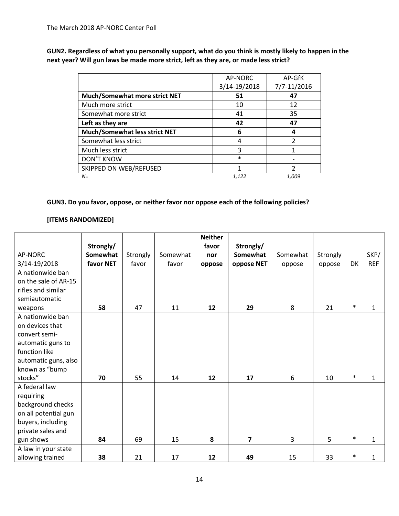**GUN2. Regardless of what you personally support, what do you think is mostly likely to happen in the next year? Will gun laws be made more strict, left as they are, or made less strict?** 

|                               | AP-NORC      | AP-GfK      |
|-------------------------------|--------------|-------------|
|                               | 3/14-19/2018 | 7/7-11/2016 |
| Much/Somewhat more strict NET | 51           | 47          |
| Much more strict              | 10           | 12          |
| Somewhat more strict          | 41           | 35          |
| Left as they are              | 42           | 47          |
| Much/Somewhat less strict NET | 6            | 4           |
| Somewhat less strict          | 4            | 2           |
| Much less strict              | 3            |             |
| <b>DON'T KNOW</b>             | $\ast$       |             |
| <b>SKIPPED ON WEB/REFUSED</b> | 1            | っ           |
| $N =$                         | 1,122        | 1,009       |

## **GUN3. Do you favor, oppose, or neither favor nor oppose each of the following policies?**

## **[ITEMS RANDOMIZED]**

|                      |           |          |          | <b>Neither</b> |                         |          |          |        |              |
|----------------------|-----------|----------|----------|----------------|-------------------------|----------|----------|--------|--------------|
|                      | Strongly/ |          |          | favor          | Strongly/               |          |          |        |              |
| AP-NORC              | Somewhat  | Strongly | Somewhat | nor            | Somewhat                | Somewhat | Strongly |        | SKP/         |
| 3/14-19/2018         | favor NET | favor    | favor    | oppose         | oppose NET              | oppose   | oppose   | DK     | <b>REF</b>   |
| A nationwide ban     |           |          |          |                |                         |          |          |        |              |
| on the sale of AR-15 |           |          |          |                |                         |          |          |        |              |
| rifles and similar   |           |          |          |                |                         |          |          |        |              |
| semiautomatic        |           |          |          |                |                         |          |          |        |              |
| weapons              | 58        | 47       | 11       | 12             | 29                      | 8        | 21       | $\ast$ | 1            |
| A nationwide ban     |           |          |          |                |                         |          |          |        |              |
| on devices that      |           |          |          |                |                         |          |          |        |              |
| convert semi-        |           |          |          |                |                         |          |          |        |              |
| automatic guns to    |           |          |          |                |                         |          |          |        |              |
| function like        |           |          |          |                |                         |          |          |        |              |
| automatic guns, also |           |          |          |                |                         |          |          |        |              |
| known as "bump       |           |          |          |                |                         |          |          |        |              |
| stocks"              | 70        | 55       | 14       | 12             | 17                      | 6        | 10       | $\ast$ | 1            |
| A federal law        |           |          |          |                |                         |          |          |        |              |
| requiring            |           |          |          |                |                         |          |          |        |              |
| background checks    |           |          |          |                |                         |          |          |        |              |
| on all potential gun |           |          |          |                |                         |          |          |        |              |
| buyers, including    |           |          |          |                |                         |          |          |        |              |
| private sales and    |           |          |          |                |                         |          |          |        |              |
| gun shows            | 84        | 69       | 15       | 8              | $\overline{\mathbf{z}}$ | 3        | 5        | $\ast$ | $\mathbf{1}$ |
| A law in your state  |           |          |          |                |                         |          |          |        |              |
| allowing trained     | 38        | 21       | 17       | 12             | 49                      | 15       | 33       | $\ast$ | $\mathbf{1}$ |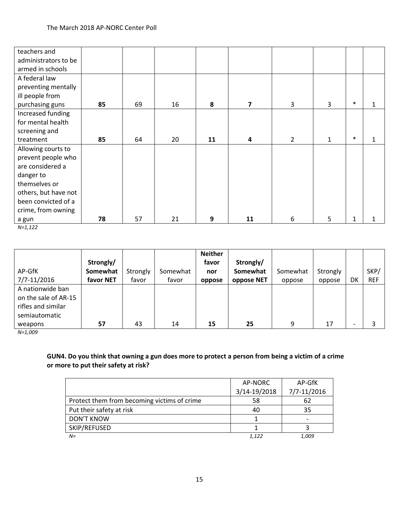| teachers and         |    |    |    |    |                |                |   |              |   |
|----------------------|----|----|----|----|----------------|----------------|---|--------------|---|
| administrators to be |    |    |    |    |                |                |   |              |   |
| armed in schools     |    |    |    |    |                |                |   |              |   |
| A federal law        |    |    |    |    |                |                |   |              |   |
| preventing mentally  |    |    |    |    |                |                |   |              |   |
| ill people from      |    |    |    |    |                |                |   |              |   |
| purchasing guns      | 85 | 69 | 16 | 8  | $\overline{7}$ | 3              | 3 | $\ast$       | 1 |
| Increased funding    |    |    |    |    |                |                |   |              |   |
| for mental health    |    |    |    |    |                |                |   |              |   |
| screening and        |    |    |    |    |                |                |   |              |   |
| treatment            | 85 | 64 | 20 | 11 | 4              | $\overline{2}$ | 1 | $\ast$       | 1 |
| Allowing courts to   |    |    |    |    |                |                |   |              |   |
| prevent people who   |    |    |    |    |                |                |   |              |   |
| are considered a     |    |    |    |    |                |                |   |              |   |
| danger to            |    |    |    |    |                |                |   |              |   |
| themselves or        |    |    |    |    |                |                |   |              |   |
| others, but have not |    |    |    |    |                |                |   |              |   |
| been convicted of a  |    |    |    |    |                |                |   |              |   |
| crime, from owning   |    |    |    |    |                |                |   |              |   |
| a gun                | 78 | 57 | 21 | 9  | 11             | 6              | 5 | $\mathbf{1}$ |   |

*N=1,122*

| AP-GfK                                                                          | Strongly/<br>Somewhat | Strongly | Somewhat | <b>Neither</b><br>favor<br>nor | Strongly/<br>Somewhat | Somewhat | Strongly |                          | SKP/       |
|---------------------------------------------------------------------------------|-----------------------|----------|----------|--------------------------------|-----------------------|----------|----------|--------------------------|------------|
| 7/7-11/2016                                                                     | favor NET             | favor    | favor    | oppose                         | oppose NET            | oppose   | oppose   | DK                       | <b>REF</b> |
| A nationwide ban<br>on the sale of AR-15<br>rifles and similar<br>semiautomatic |                       |          |          |                                |                       |          |          |                          |            |
| weapons                                                                         | 57                    | 43       | 14       | 15                             | 25                    | 9        | 17       | $\overline{\phantom{0}}$ |            |

*N=1,009*

## **GUN4. Do you think that owning a gun does more to protect a person from being a victim of a crime or more to put their safety at risk?**

|                                             | AP-NORC      | AP-GfK      |
|---------------------------------------------|--------------|-------------|
|                                             | 3/14-19/2018 | 7/7-11/2016 |
| Protect them from becoming victims of crime | 58           | 62          |
| Put their safety at risk                    | 40           | 35          |
| <b>DON'T KNOW</b>                           |              |             |
| SKIP/REFUSED                                |              |             |
| $N =$                                       | 1.122        | 1.009       |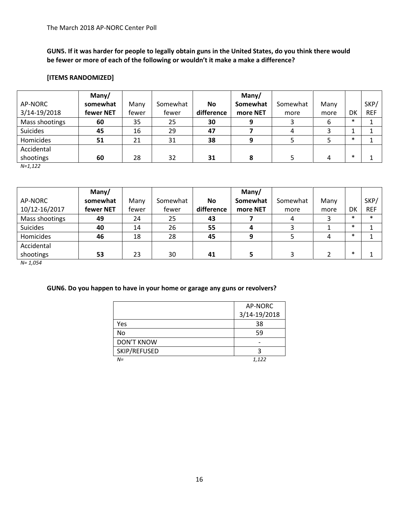**GUN5. If it was harder for people to legally obtain guns in the United States, do you think there would be fewer or more of each of the following or wouldn't it make a make a difference?**

## **[ITEMS RANDOMIZED]**

|                 | Many/     |       |          |            | Many/    |          |      |        |            |
|-----------------|-----------|-------|----------|------------|----------|----------|------|--------|------------|
| AP-NORC         | somewhat  | Many  | Somewhat | <b>No</b>  | Somewhat | Somewhat | Many |        | SKP/       |
| 3/14-19/2018    | fewer NET | fewer | fewer    | difference | more NET | more     | more | DK     | <b>REF</b> |
| Mass shootings  | 60        | 35    | 25       | 30         | 9        | 3        | 6    | $\ast$ |            |
| <b>Suicides</b> | 45        | 16    | 29       | 47         |          | 4        | 3    |        |            |
| Homicides       | 51        | 21    | 31       | 38         | 9        |          |      | $\ast$ |            |
| Accidental      |           |       |          |            |          |          |      |        |            |
| shootings       | 60        | 28    | 32       | 31         | 8        |          | 4    | $\ast$ |            |

*N=1,122*

|                 | Many/     |       |          |            | Many/    |          |      |        |            |
|-----------------|-----------|-------|----------|------------|----------|----------|------|--------|------------|
| AP-NORC         | somewhat  | Many  | Somewhat | <b>No</b>  | Somewhat | Somewhat | Many |        | SKP/       |
| 10/12-16/2017   | fewer NET | fewer | fewer    | difference | more NET | more     | more | DK     | <b>REF</b> |
| Mass shootings  | 49        | 24    | 25       | 43         |          |          |      | $\ast$ | $\ast$     |
| <b>Suicides</b> | 40        | 14    | 26       | 55         |          |          |      | $\ast$ |            |
| Homicides       | 46        | 18    | 28       | 45         |          |          |      | $\ast$ |            |
| Accidental      |           |       |          |            |          |          |      |        |            |
| shootings       | 53        | 23    | 30       | 41         |          |          |      | $\ast$ |            |

*N= 1,054*

## **GUN6. Do you happen to have in your home or garage any guns or revolvers?**

|                   | AP-NORC      |
|-------------------|--------------|
|                   | 3/14-19/2018 |
| Yes               | 38           |
| No                | 59           |
| <b>DON'T KNOW</b> |              |
| SKIP/REFUSED      | ੨            |
| $N =$             | 1.122        |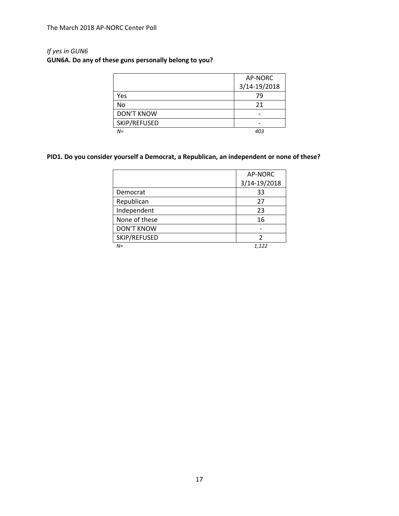# *If yes in GUN6*

# **GUN6A. Do any of these guns personally belong to you?**

|                   | AP-NORC      |
|-------------------|--------------|
|                   | 3/14-19/2018 |
| Yes               | 79           |
| No                | 21           |
| <b>DON'T KNOW</b> |              |
| SKIP/REFUSED      |              |
| $N =$             | 403          |

# **PID1. Do you consider yourself a Democrat, a Republican, an independent or none of these?**

|                   | AP-NORC      |
|-------------------|--------------|
|                   | 3/14-19/2018 |
| Democrat          | 33           |
| Republican        | 27           |
| Independent       | 23           |
| None of these     | 16           |
| <b>DON'T KNOW</b> |              |
| SKIP/REFUSED      |              |
| $N =$             | 1,122        |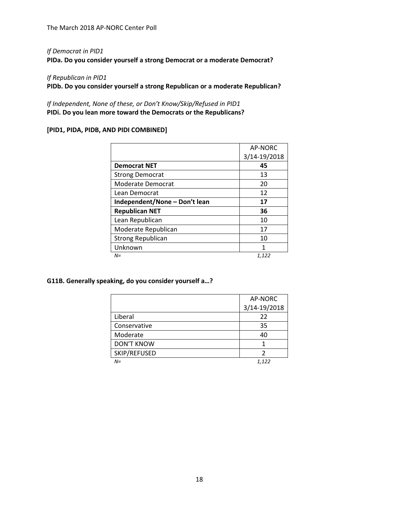## *If Democrat in PID1*

**PIDa. Do you consider yourself a strong Democrat or a moderate Democrat?**

#### *If Republican in PID1*

**PIDb. Do you consider yourself a strong Republican or a moderate Republican?**

*If Independent, None of these, or Don't Know/Skip/Refused in PID1* **PIDi. Do you lean more toward the Democrats or the Republicans?**

## **[PID1, PIDA, PIDB, AND PIDI COMBINED]**

|                               | AP-NORC      |
|-------------------------------|--------------|
|                               | 3/14-19/2018 |
| <b>Democrat NET</b>           | 45           |
| <b>Strong Democrat</b>        | 13           |
| Moderate Democrat             | 20           |
| Lean Democrat                 | 12           |
| Independent/None - Don't lean | 17           |
| <b>Republican NET</b>         | 36           |
| Lean Republican               | 10           |
| Moderate Republican           | 17           |
| <b>Strong Republican</b>      | 10           |
| Unknown                       | 1            |
| $N =$                         | 1,122        |

#### **G11B. Generally speaking, do you consider yourself a…?**

|                   | AP-NORC      |
|-------------------|--------------|
|                   | 3/14-19/2018 |
| Liberal           | 22           |
| Conservative      | 35           |
| Moderate          | 40           |
| <b>DON'T KNOW</b> |              |
| SKIP/REFUSED      |              |
| $N =$             | 1.122        |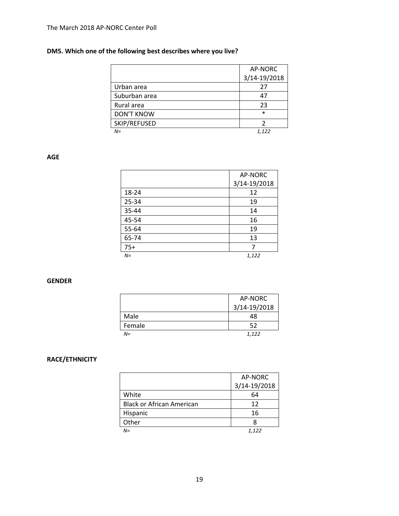# **DM5. Which one of the following best describes where you live?**

|                   | AP-NORC      |
|-------------------|--------------|
|                   | 3/14-19/2018 |
| Urban area        | 27           |
| Suburban area     | 47           |
| Rural area        | 23           |
| <b>DON'T KNOW</b> | $\ast$       |
| SKIP/REFUSED      |              |
| $N =$             | 1.122        |

### **AGE**

|       | AP-NORC      |
|-------|--------------|
|       | 3/14-19/2018 |
| 18-24 | 12           |
| 25-34 | 19           |
| 35-44 | 14           |
| 45-54 | 16           |
| 55-64 | 19           |
| 65-74 | 13           |
| $75+$ |              |
| $N =$ | 1,122        |

### **GENDER**

|        | AP-NORC      |
|--------|--------------|
|        | 3/14-19/2018 |
| Male   | 48           |
| Female | 52           |
| $N =$  | 1,122        |

## **RACE/ETHNICITY**

|                                  | AP-NORC      |
|----------------------------------|--------------|
|                                  | 3/14-19/2018 |
| White                            | 64           |
| <b>Black or African American</b> | 12           |
| Hispanic                         | 16           |
| Other                            |              |
| $N =$                            | 1.122        |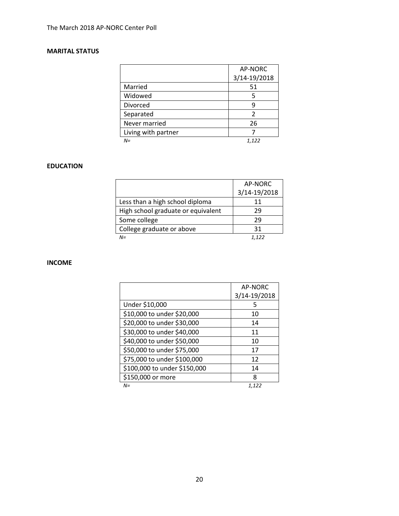## **MARITAL STATUS**

|                     | AP-NORC      |
|---------------------|--------------|
|                     | 3/14-19/2018 |
| Married             | 51           |
| Widowed             | 5            |
| Divorced            | q            |
| Separated           | 2            |
| Never married       | 26           |
| Living with partner |              |
| $N =$               | 1,122        |

## **EDUCATION**

|                                    | AP-NORC      |
|------------------------------------|--------------|
|                                    | 3/14-19/2018 |
| Less than a high school diploma    | 11           |
| High school graduate or equivalent | 29           |
| Some college                       | 29           |
| College graduate or above          | 31           |
| $N =$                              | 1122         |

## **INCOME**

|                              | AP-NORC      |
|------------------------------|--------------|
|                              | 3/14-19/2018 |
| Under \$10,000               | 5            |
| \$10,000 to under \$20,000   | 10           |
| \$20,000 to under \$30,000   | 14           |
| \$30,000 to under \$40,000   | 11           |
| \$40,000 to under \$50,000   | 10           |
| \$50,000 to under \$75,000   | 17           |
| \$75,000 to under \$100,000  | 12           |
| \$100,000 to under \$150,000 | 14           |
| \$150,000 or more            | 8            |
| $N =$                        | 1,122        |